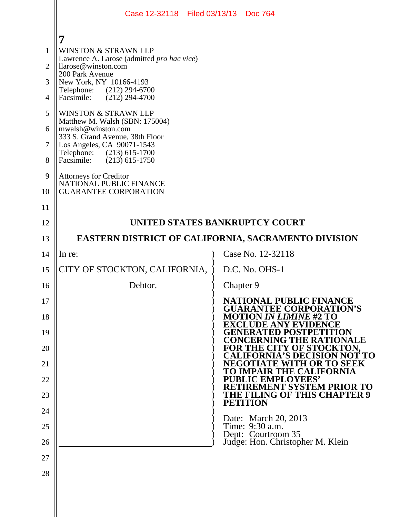|                | Case 12-32118 Filed 03/13/13 Doc 764                                                    |                                                                  |  |
|----------------|-----------------------------------------------------------------------------------------|------------------------------------------------------------------|--|
|                | 7                                                                                       |                                                                  |  |
| $\mathbf{1}$   | <b>WINSTON &amp; STRAWN LLP</b>                                                         |                                                                  |  |
| $\overline{2}$ | Lawrence A. Larose (admitted pro hac vice)<br>llarose@winston.com                       |                                                                  |  |
| 3              | 200 Park Avenue<br>New York, NY 10166-4193                                              |                                                                  |  |
| 4              | Telephone: (212) 294-6700<br>$(212)$ 294-4700<br>Facsimile:                             |                                                                  |  |
| 5              | <b>WINSTON &amp; STRAWN LLP</b>                                                         |                                                                  |  |
| 6              | Matthew M. Walsh (SBN: 175004)<br>mwalsh@winston.com<br>333 S. Grand Avenue, 38th Floor |                                                                  |  |
| $\overline{7}$ | Los Angeles, CA 90071-1543<br>Telephone: (213) 615-1700                                 |                                                                  |  |
| 8              | $(213)$ 615-1750<br>Facsimile:                                                          |                                                                  |  |
| 9              | Attorneys for Creditor<br>NATIONAL PUBLIC FINANCE                                       |                                                                  |  |
| 10             | <b>GUARANTEE CORPORATION</b>                                                            |                                                                  |  |
| 11             |                                                                                         |                                                                  |  |
| 12             | UNITED STATES BANKRUPTCY COURT                                                          |                                                                  |  |
| 13             | EASTERN DISTRICT OF CALIFORNIA, SACRAMENTO DIVISION                                     |                                                                  |  |
| 14             | In re:                                                                                  | Case No. 12-32118                                                |  |
| 15             | CITY OF STOCKTON, CALIFORNIA,                                                           | D.C. No. OHS-1                                                   |  |
| 16             | Debtor.                                                                                 | Chapter 9                                                        |  |
| 17             |                                                                                         | <b>NATIONAL PUBLIC FINANCE</b><br><b>GUARANTEE CORPORATION'S</b> |  |
| 18             |                                                                                         | <b>MOTION IN LIMINE #2 TO</b><br>EXCLUDE ANY EVI                 |  |
| 19             |                                                                                         | <b>GENERATED POST</b><br><b>CONCERNING THE RATIO</b><br>NALE     |  |
| 20             |                                                                                         | FOR THE CITY OF STOCKTON.<br><b>FORNIA'S DECISION NOT TO</b>     |  |
| 21             |                                                                                         | ITH OR TO SEEK<br>NEGOT<br>Ή.<br><b>THE CALIFORNIA</b><br>'R 'I  |  |
| 22             |                                                                                         | <b>PUBLIC EMPLOYEES'</b><br>RETIREMENT SYSTEM PRIOR TO           |  |
| 23             |                                                                                         | THE FILING OF THIS CHAPTER 9<br><b>PETITION</b>                  |  |
| 24             |                                                                                         | Date: March 20, 2013                                             |  |
| 25             |                                                                                         | Time: 9:30 a.m.<br>Dept: Courtroom 35                            |  |
| 26<br>27       |                                                                                         | Judge: Hon. Christopher M. Klein                                 |  |
| 28             |                                                                                         |                                                                  |  |
|                |                                                                                         |                                                                  |  |
|                |                                                                                         |                                                                  |  |
|                |                                                                                         |                                                                  |  |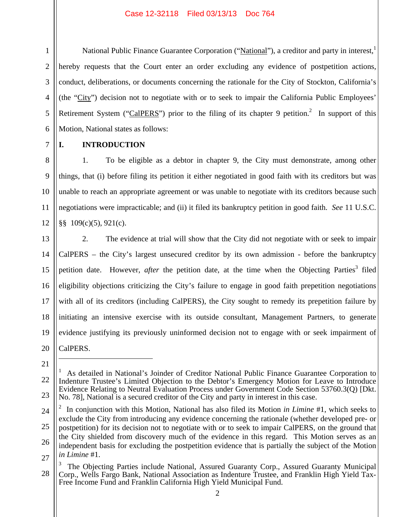National Public Finance Guarantee Corporation ("National"), a creditor and party in interest, hereby requests that the Court enter an order excluding any evidence of postpetition actions, conduct, deliberations, or documents concerning the rationale for the City of Stockton, California's (the "City") decision not to negotiate with or to seek to impair the California Public Employees' Retirement System ("CalPERS") prior to the filing of its chapter 9 petition.<sup>2</sup> In support of this Motion, National states as follows:

7 8

9

10

11

12

1

2

3

4

5

6

## **I. INTRODUCTION**

1. To be eligible as a debtor in chapter 9, the City must demonstrate, among other things, that (i) before filing its petition it either negotiated in good faith with its creditors but was unable to reach an appropriate agreement or was unable to negotiate with its creditors because such negotiations were impracticable; and (ii) it filed its bankruptcy petition in good faith. *See* 11 U.S.C. §§ 109(c)(5), 921(c).

13 14 15 16 17 18 19 20 2. The evidence at trial will show that the City did not negotiate with or seek to impair CalPERS – the City's largest unsecured creditor by its own admission - before the bankruptcy petition date. However, *after* the petition date, at the time when the Objecting Parties<sup>3</sup> filed eligibility objections criticizing the City's failure to engage in good faith prepetition negotiations with all of its creditors (including CalPERS), the City sought to remedy its prepetition failure by initiating an intensive exercise with its outside consultant, Management Partners, to generate evidence justifying its previously uninformed decision not to engage with or seek impairment of CalPERS.

21

<u>.</u>

22

23

<sup>1</sup> As detailed in National's Joinder of Creditor National Public Finance Guarantee Corporation to Indenture Trustee's Limited Objection to the Debtor's Emergency Motion for Leave to Introduce Evidence Relating to Neutral Evaluation Process under Government Code Section 53760.3(Q) [Dkt. No. 78], National is a secured creditor of the City and party in interest in this case.

<sup>24</sup> 25 26 27 2 In conjunction with this Motion, National has also filed its Motion *in Limine* #1, which seeks to exclude the City from introducing any evidence concerning the rationale (whether developed pre- or postpetition) for its decision not to negotiate with or to seek to impair CalPERS, on the ground that the City shielded from discovery much of the evidence in this regard. This Motion serves as an independent basis for excluding the postpetition evidence that is partially the subject of the Motion *in Limine* #1.

<sup>28</sup> 3 The Objecting Parties include National, Assured Guaranty Corp., Assured Guaranty Municipal Corp., Wells Fargo Bank, National Association as Indenture Trustee, and Franklin High Yield Tax-Free Income Fund and Franklin California High Yield Municipal Fund.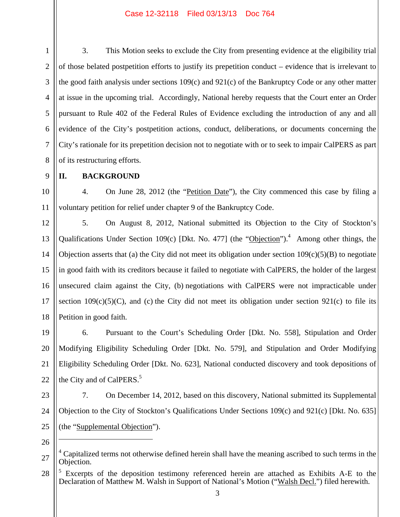3. This Motion seeks to exclude the City from presenting evidence at the eligibility trial of those belated postpetition efforts to justify its prepetition conduct – evidence that is irrelevant to the good faith analysis under sections 109(c) and 921(c) of the Bankruptcy Code or any other matter at issue in the upcoming trial. Accordingly, National hereby requests that the Court enter an Order pursuant to Rule 402 of the Federal Rules of Evidence excluding the introduction of any and all evidence of the City's postpetition actions, conduct, deliberations, or documents concerning the City's rationale for its prepetition decision not to negotiate with or to seek to impair CalPERS as part of its restructuring efforts.

9

8

1

2

3

4

5

6

7

## **II. BACKGROUND**

10 11 4. On June 28, 2012 (the "Petition Date"), the City commenced this case by filing a voluntary petition for relief under chapter 9 of the Bankruptcy Code.

12 13 14 15 16 17 18 5. On August 8, 2012, National submitted its Objection to the City of Stockton's Qualifications Under Section 109(c) [Dkt. No. 477] (the "Objection").<sup>4</sup> Among other things, the Objection asserts that (a) the City did not meet its obligation under section  $109(c)(5)(B)$  to negotiate in good faith with its creditors because it failed to negotiate with CalPERS, the holder of the largest unsecured claim against the City, (b) negotiations with CalPERS were not impracticable under section  $109(c)(5)(C)$ , and (c) the City did not meet its obligation under section 921(c) to file its Petition in good faith.

19 20 21 22 6. Pursuant to the Court's Scheduling Order [Dkt. No. 558], Stipulation and Order Modifying Eligibility Scheduling Order [Dkt. No. 579], and Stipulation and Order Modifying Eligibility Scheduling Order [Dkt. No. 623], National conducted discovery and took depositions of the City and of CalPERS.<sup>5</sup>

23

24

25

7. On December 14, 2012, based on this discovery, National submitted its Supplemental Objection to the City of Stockton's Qualifications Under Sections 109(c) and 921(c) [Dkt. No. 635] (the "Supplemental Objection").

26

 $\overline{a}$ 

<sup>27</sup> 4 Capitalized terms not otherwise defined herein shall have the meaning ascribed to such terms in the Objection.

<sup>28</sup> 5 Excerpts of the deposition testimony referenced herein are attached as Exhibits A-E to the Declaration of Matthew M. Walsh in Support of National's Motion ("Walsh Decl.") filed herewith.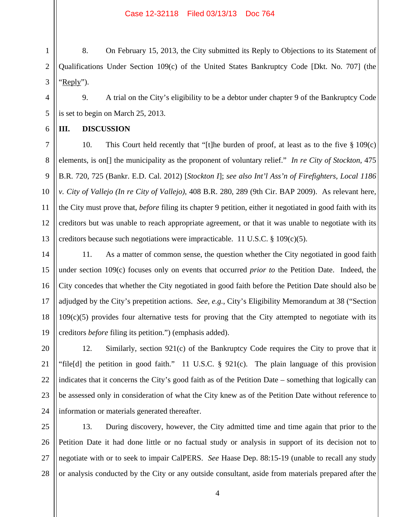1 2 3 8. On February 15, 2013, the City submitted its Reply to Objections to its Statement of Qualifications Under Section 109(c) of the United States Bankruptcy Code [Dkt. No. 707] (the 'Reply'').

4 5 9. A trial on the City's eligibility to be a debtor under chapter 9 of the Bankruptcy Code is set to begin on March 25, 2013.

### **III. DISCUSSION**

6

7

8

9

11

12

10 13 10. This Court held recently that "[t]he burden of proof, at least as to the five § 109(c) elements, is on[] the municipality as the proponent of voluntary relief." *In re City of Stockton*, 475 B.R. 720, 725 (Bankr. E.D. Cal. 2012) [*Stockton I*]; *see also Int'l Ass'n of Firefighters, Local 1186 v. City of Vallejo (In re City of Vallejo)*, 408 B.R. 280, 289 (9th Cir. BAP 2009). As relevant here, the City must prove that, *before* filing its chapter 9 petition, either it negotiated in good faith with its creditors but was unable to reach appropriate agreement, or that it was unable to negotiate with its creditors because such negotiations were impracticable. 11 U.S.C. § 109(c)(5).

14 15 16 17 18 19 11. As a matter of common sense, the question whether the City negotiated in good faith under section 109(c) focuses only on events that occurred *prior to* the Petition Date. Indeed, the City concedes that whether the City negotiated in good faith before the Petition Date should also be adjudged by the City's prepetition actions. *See*, *e.g.*, City's Eligibility Memorandum at 38 ("Section  $109(c)(5)$  provides four alternative tests for proving that the City attempted to negotiate with its creditors *before* filing its petition.") (emphasis added).

20 21 22 23 24 12. Similarly, section 921(c) of the Bankruptcy Code requires the City to prove that it "file[d] the petition in good faith." 11 U.S.C. § 921(c). The plain language of this provision indicates that it concerns the City's good faith as of the Petition Date – something that logically can be assessed only in consideration of what the City knew as of the Petition Date without reference to information or materials generated thereafter.

25 26 27 28 13. During discovery, however, the City admitted time and time again that prior to the Petition Date it had done little or no factual study or analysis in support of its decision not to negotiate with or to seek to impair CalPERS. *See* Haase Dep. 88:15-19 (unable to recall any study or analysis conducted by the City or any outside consultant, aside from materials prepared after the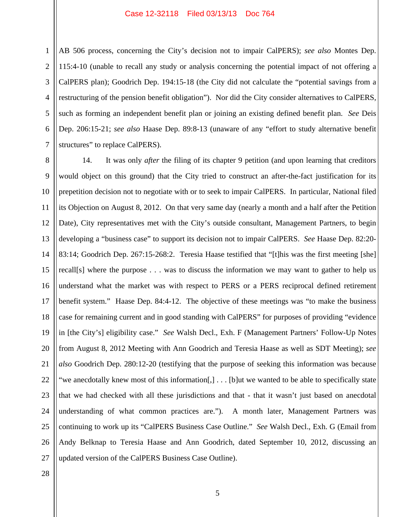AB 506 process, concerning the City's decision not to impair CalPERS); *see also* Montes Dep. 115:4-10 (unable to recall any study or analysis concerning the potential impact of not offering a CalPERS plan); Goodrich Dep. 194:15-18 (the City did not calculate the "potential savings from a restructuring of the pension benefit obligation"). Nor did the City consider alternatives to CalPERS, such as forming an independent benefit plan or joining an existing defined benefit plan. *See* Deis Dep. 206:15-21; *see also* Haase Dep. 89:8-13 (unaware of any "effort to study alternative benefit structures" to replace CalPERS).

8 9 10 11 12 13 14 15 16 17 18 19 20 21 22 23 24 25 26 27 14. It was only *after* the filing of its chapter 9 petition (and upon learning that creditors would object on this ground) that the City tried to construct an after-the-fact justification for its prepetition decision not to negotiate with or to seek to impair CalPERS. In particular, National filed its Objection on August 8, 2012. On that very same day (nearly a month and a half after the Petition Date), City representatives met with the City's outside consultant, Management Partners, to begin developing a "business case" to support its decision not to impair CalPERS. *See* Haase Dep. 82:20- 83:14; Goodrich Dep. 267:15-268:2. Teresia Haase testified that "[t]his was the first meeting [she] recall[s] where the purpose . . . was to discuss the information we may want to gather to help us understand what the market was with respect to PERS or a PERS reciprocal defined retirement benefit system." Haase Dep. 84:4-12. The objective of these meetings was "to make the business case for remaining current and in good standing with CalPERS" for purposes of providing "evidence in [the City's] eligibility case." *See* Walsh Decl., Exh. F (Management Partners' Follow-Up Notes from August 8, 2012 Meeting with Ann Goodrich and Teresia Haase as well as SDT Meeting); *see also* Goodrich Dep. 280:12-20 (testifying that the purpose of seeking this information was because "we anecdotally knew most of this information[,] . . . [b]ut we wanted to be able to specifically state that we had checked with all these jurisdictions and that - that it wasn't just based on anecdotal understanding of what common practices are."). A month later, Management Partners was continuing to work up its "CalPERS Business Case Outline." *See* Walsh Decl., Exh. G (Email from Andy Belknap to Teresia Haase and Ann Goodrich, dated September 10, 2012, discussing an updated version of the CalPERS Business Case Outline).

1

2

3

4

5

6

7

28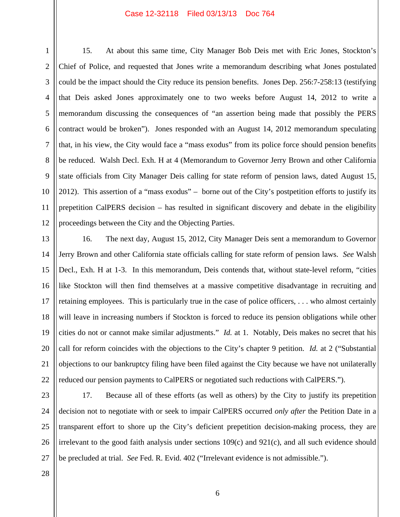1 2 3 4 5 6 7 8 9 15. At about this same time, City Manager Bob Deis met with Eric Jones, Stockton's Chief of Police, and requested that Jones write a memorandum describing what Jones postulated could be the impact should the City reduce its pension benefits. Jones Dep. 256:7-258:13 (testifying that Deis asked Jones approximately one to two weeks before August 14, 2012 to write a memorandum discussing the consequences of "an assertion being made that possibly the PERS contract would be broken"). Jones responded with an August 14, 2012 memorandum speculating that, in his view, the City would face a "mass exodus" from its police force should pension benefits be reduced. Walsh Decl. Exh. H at 4 (Memorandum to Governor Jerry Brown and other California state officials from City Manager Deis calling for state reform of pension laws, dated August 15, 2012). This assertion of a "mass exodus" – borne out of the City's postpetition efforts to justify its prepetition CalPERS decision – has resulted in significant discovery and debate in the eligibility proceedings between the City and the Objecting Parties.

14 16 22 16. The next day, August 15, 2012, City Manager Deis sent a memorandum to Governor Jerry Brown and other California state officials calling for state reform of pension laws. *See* Walsh Decl., Exh. H at 1-3. In this memorandum, Deis contends that, without state-level reform, "cities like Stockton will then find themselves at a massive competitive disadvantage in recruiting and retaining employees. This is particularly true in the case of police officers, . . . who almost certainly will leave in increasing numbers if Stockton is forced to reduce its pension obligations while other cities do not or cannot make similar adjustments." *Id.* at 1. Notably, Deis makes no secret that his call for reform coincides with the objections to the City's chapter 9 petition. *Id.* at 2 ("Substantial objections to our bankruptcy filing have been filed against the City because we have not unilaterally reduced our pension payments to CalPERS or negotiated such reductions with CalPERS.").

23 24 25 26 27 17. Because all of these efforts (as well as others) by the City to justify its prepetition decision not to negotiate with or seek to impair CalPERS occurred *only after* the Petition Date in a transparent effort to shore up the City's deficient prepetition decision-making process, they are irrelevant to the good faith analysis under sections  $109(c)$  and  $921(c)$ , and all such evidence should be precluded at trial. *See* Fed. R. Evid. 402 ("Irrelevant evidence is not admissible.").

28